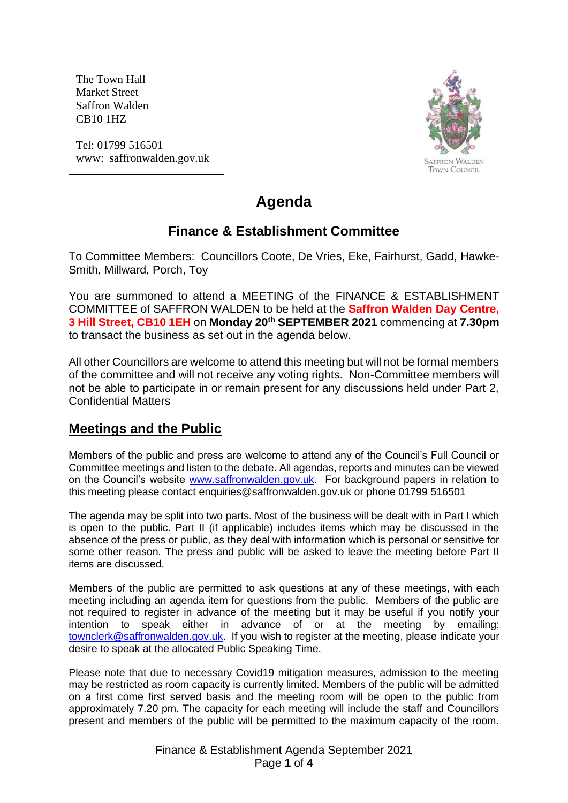The Town Hall Market Street Saffron Walden CB10 1HZ

Tel: 01799 516501 www: saffronwalden.gov.uk



# **Agenda**

# **Finance & Establishment Committee**

To Committee Members: Councillors Coote, De Vries, Eke, Fairhurst, Gadd, Hawke-Smith, Millward, Porch, Toy

You are summoned to attend a MEETING of the FINANCE & ESTABLISHMENT COMMITTEE of SAFFRON WALDEN to be held at the **Saffron Walden Day Centre, 3 Hill Street, CB10 1EH** on **Monday 20th SEPTEMBER 2021** commencing at **7.30pm** to transact the business as set out in the agenda below.

All other Councillors are welcome to attend this meeting but will not be formal members of the committee and will not receive any voting rights. Non-Committee members will not be able to participate in or remain present for any discussions held under Part 2, Confidential Matters

# **Meetings and the Public**

Members of the public and press are welcome to attend any of the Council's Full Council or Committee meetings and listen to the debate. All agendas, reports and minutes can be viewed on the Council's website [www.saffronwalden.gov.uk.](http://www.saffronwalden.gov.uk/) For background papers in relation to this meeting please contact enquiries@saffronwalden.gov.uk or phone 01799 516501

The agenda may be split into two parts. Most of the business will be dealt with in Part I which is open to the public. Part II (if applicable) includes items which may be discussed in the absence of the press or public, as they deal with information which is personal or sensitive for some other reason. The press and public will be asked to leave the meeting before Part II items are discussed.

Members of the public are permitted to ask questions at any of these meetings, with each meeting including an agenda item for questions from the public. Members of the public are not required to register in advance of the meeting but it may be useful if you notify your intention to speak either in advance of or at the meeting by emailing: [townclerk@saffronwalden.gov.uk.](mailto:townclerk@saffronwalden.gov.uk) If you wish to register at the meeting, please indicate your desire to speak at the allocated Public Speaking Time.

Please note that due to necessary Covid19 mitigation measures, admission to the meeting may be restricted as room capacity is currently limited. Members of the public will be admitted on a first come first served basis and the meeting room will be open to the public from approximately 7.20 pm. The capacity for each meeting will include the staff and Councillors present and members of the public will be permitted to the maximum capacity of the room.

> Finance & Establishment Agenda September 2021 Page **1** of **4**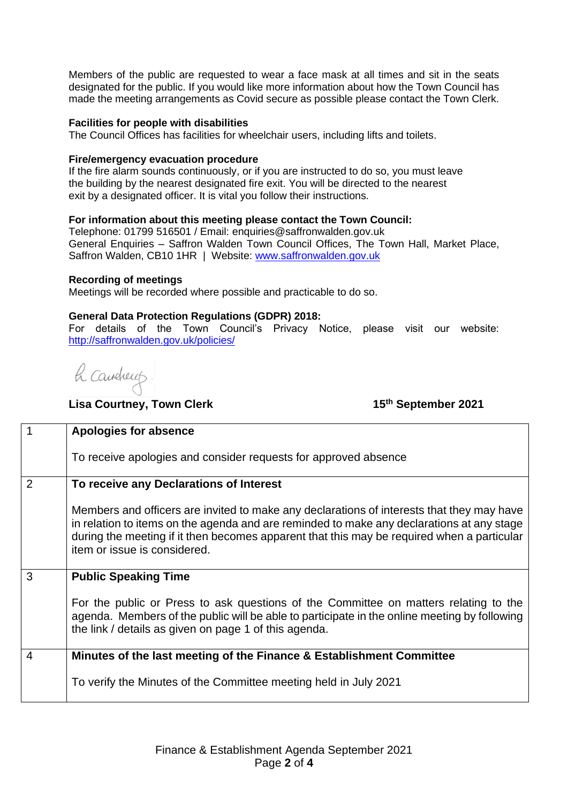Members of the public are requested to wear a face mask at all times and sit in the seats designated for the public. If you would like more information about how the Town Council has made the meeting arrangements as Covid secure as possible please contact the Town Clerk.

#### **Facilities for people with disabilities**

The Council Offices has facilities for wheelchair users, including lifts and toilets.

#### **Fire/emergency evacuation procedure**

If the fire alarm sounds continuously, or if you are instructed to do so, you must leave the building by the nearest designated fire exit. You will be directed to the nearest exit by a designated officer. It is vital you follow their instructions.

### **For information about this meeting please contact the Town Council:**

Telephone: 01799 516501 / Email: enquiries@saffronwalden.gov.uk General Enquiries – Saffron Walden Town Council Offices, The Town Hall, Market Place, Saffron Walden, CB10 1HR | Website: [www.saffronwalden.gov.uk](http://www.saffronwalden.gov.uk/)

#### **Recording of meetings**

Meetings will be recorded where possible and practicable to do so.

### **General Data Protection Regulations (GDPR) 2018:**

For details of the Town Council's Privacy Notice, please visit our website: <http://saffronwalden.gov.uk/policies/>

h caucheup

**Lisa Courtney, Town Clerk** 

**th September 2021** 

|                | <b>Apologies for absence</b>                                                                                                                                                                                                                                                                                         |
|----------------|----------------------------------------------------------------------------------------------------------------------------------------------------------------------------------------------------------------------------------------------------------------------------------------------------------------------|
|                | To receive apologies and consider requests for approved absence                                                                                                                                                                                                                                                      |
| 2              | To receive any Declarations of Interest                                                                                                                                                                                                                                                                              |
|                | Members and officers are invited to make any declarations of interests that they may have<br>in relation to items on the agenda and are reminded to make any declarations at any stage<br>during the meeting if it then becomes apparent that this may be required when a particular<br>item or issue is considered. |
| 3              | <b>Public Speaking Time</b>                                                                                                                                                                                                                                                                                          |
|                | For the public or Press to ask questions of the Committee on matters relating to the<br>agenda. Members of the public will be able to participate in the online meeting by following<br>the link / details as given on page 1 of this agenda.                                                                        |
| $\overline{4}$ | Minutes of the last meeting of the Finance & Establishment Committee                                                                                                                                                                                                                                                 |
|                | To verify the Minutes of the Committee meeting held in July 2021                                                                                                                                                                                                                                                     |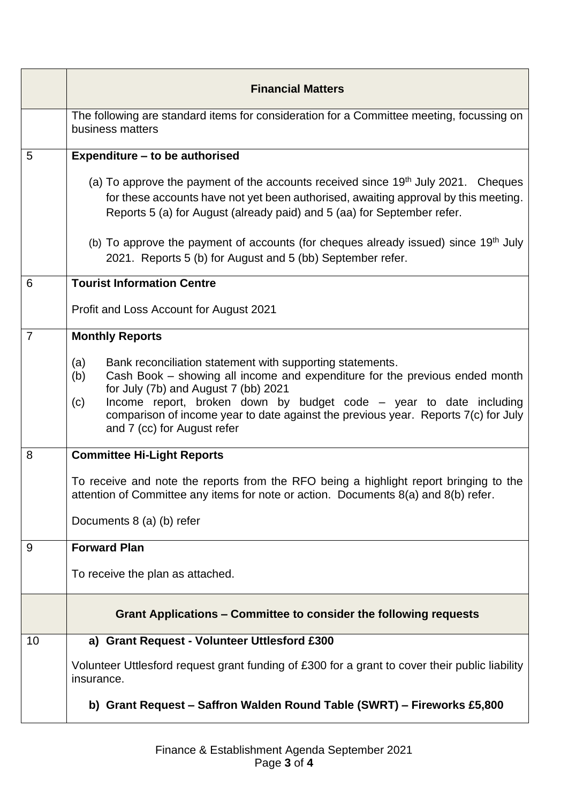|                | <b>Financial Matters</b>                                                                                                                                                                                                                                                                                                                                                                         |
|----------------|--------------------------------------------------------------------------------------------------------------------------------------------------------------------------------------------------------------------------------------------------------------------------------------------------------------------------------------------------------------------------------------------------|
|                | The following are standard items for consideration for a Committee meeting, focussing on<br>business matters                                                                                                                                                                                                                                                                                     |
| 5              | Expenditure - to be authorised                                                                                                                                                                                                                                                                                                                                                                   |
|                | (a) To approve the payment of the accounts received since $19th$ July 2021. Cheques<br>for these accounts have not yet been authorised, awaiting approval by this meeting.<br>Reports 5 (a) for August (already paid) and 5 (aa) for September refer.                                                                                                                                            |
|                | (b) To approve the payment of accounts (for cheques already issued) since $19th$ July<br>2021. Reports 5 (b) for August and 5 (bb) September refer.                                                                                                                                                                                                                                              |
| 6              | <b>Tourist Information Centre</b>                                                                                                                                                                                                                                                                                                                                                                |
|                | Profit and Loss Account for August 2021                                                                                                                                                                                                                                                                                                                                                          |
| $\overline{7}$ | <b>Monthly Reports</b>                                                                                                                                                                                                                                                                                                                                                                           |
|                | Bank reconciliation statement with supporting statements.<br>(a)<br>Cash Book - showing all income and expenditure for the previous ended month<br>(b)<br>for July (7b) and August 7 (bb) 2021<br>Income report, broken down by budget code – year to date including<br>(c)<br>comparison of income year to date against the previous year. Reports 7(c) for July<br>and 7 (cc) for August refer |
| 8              | <b>Committee Hi-Light Reports</b>                                                                                                                                                                                                                                                                                                                                                                |
|                | To receive and note the reports from the RFO being a highlight report bringing to the<br>attention of Committee any items for note or action. Documents 8(a) and 8(b) refer.                                                                                                                                                                                                                     |
|                | Documents 8 (a) (b) refer                                                                                                                                                                                                                                                                                                                                                                        |
| 9              | <b>Forward Plan</b>                                                                                                                                                                                                                                                                                                                                                                              |
|                | To receive the plan as attached.                                                                                                                                                                                                                                                                                                                                                                 |
|                | Grant Applications - Committee to consider the following requests                                                                                                                                                                                                                                                                                                                                |
| 10             | a) Grant Request - Volunteer Uttlesford £300                                                                                                                                                                                                                                                                                                                                                     |
|                | Volunteer Uttlesford request grant funding of £300 for a grant to cover their public liability<br>insurance.                                                                                                                                                                                                                                                                                     |
|                | b) Grant Request - Saffron Walden Round Table (SWRT) - Fireworks £5,800                                                                                                                                                                                                                                                                                                                          |